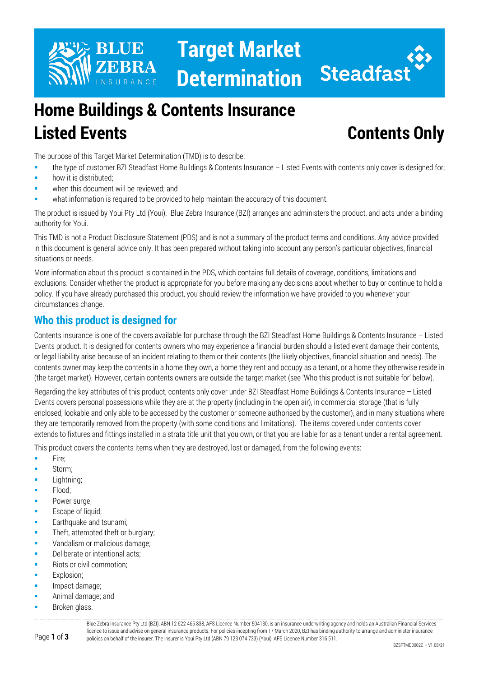

# **Home Buildings & Contents Insurance Listed Events Contents Only**

The purpose of this Target Market Determination (TMD) is to describe:

- the type of customer BZI Steadfast Home Buildings & Contents Insurance Listed Events with contents only cover is designed for;
- how it is distributed;
- when this document will be reviewed; and
- what information is required to be provided to help maintain the accuracy of this document.

The product is issued by Youi Pty Ltd (Youi). Blue Zebra Insurance (BZI) arranges and administers the product, and acts under a binding authority for Youi.

This TMD is not a Product Disclosure Statement (PDS) and is not a summary of the product terms and conditions. Any advice provided in this document is general advice only. It has been prepared without taking into account any person's particular objectives, financial situations or needs.

More information about this product is contained in the PDS, which contains full details of coverage, conditions, limitations and exclusions. Consider whether the product is appropriate for you before making any decisions about whether to buy or continue to hold a policy. If you have already purchased this product, you should review the information we have provided to you whenever your circumstances change.

# **Who this product is designed for**

Contents insurance is one of the covers available for purchase through the BZI Steadfast Home Buildings & Contents Insurance – Listed Events product. It is designed for contents owners who may experience a financial burden should a listed event damage their contents, or legal liability arise because of an incident relating to them or their contents (the likely objectives, financial situation and needs). The contents owner may keep the contents in a home they own, a home they rent and occupy as a tenant, or a home they otherwise reside in (the target market). However, certain contents owners are outside the target market (see 'Who this product is not suitable for' below).

Regarding the key attributes of this product, contents only cover under BZI Steadfast Home Buildings & Contents Insurance – Listed Events covers personal possessions while they are at the property (including in the open air), in commercial storage (that is fully enclosed, lockable and only able to be accessed by the customer or someone authorised by the customer), and in many situations where they are temporarily removed from the property (with some conditions and limitations). The items covered under contents cover extends to fixtures and fittings installed in a strata title unit that you own, or that you are liable for as a tenant under a rental agreement.

This product covers the contents items when they are destroyed, lost or damaged, from the following events:

- $Fire:$
- Storm;
- Lightning;
- Flood;
- Power surge;
- Escape of liquid:
- Earthquake and tsunami;
- Theft, attempted theft or burglary;
- **Vandalism or malicious damage;**
- Deliberate or intentional acts;
- Riots or civil commotion;
- Explosion;
- Impact damage;
- Animal damage; and
- Broken glass.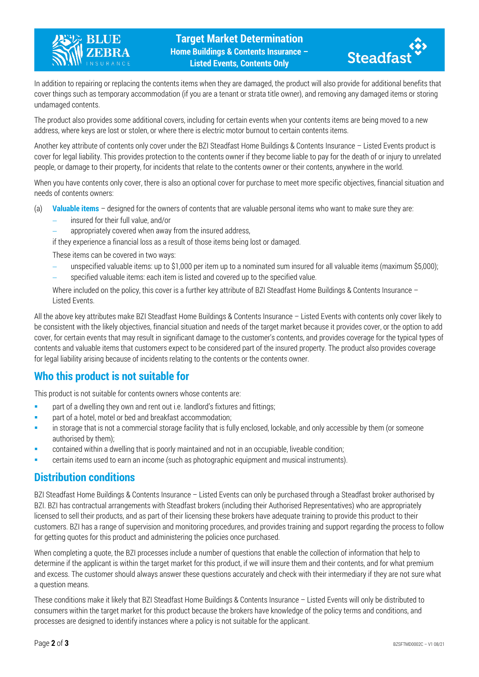



In addition to repairing or replacing the contents items when they are damaged, the product will also provide for additional benefits that cover things such as temporary accommodation (if you are a tenant or strata title owner), and removing any damaged items or storing undamaged contents.

The product also provides some additional covers, including for certain events when your contents items are being moved to a new address, where keys are lost or stolen, or where there is electric motor burnout to certain contents items.

Another key attribute of contents only cover under the BZI Steadfast Home Buildings & Contents Insurance – Listed Events product is cover for legal liability. This provides protection to the contents owner if they become liable to pay for the death of or injury to unrelated people, or damage to their property, for incidents that relate to the contents owner or their contents, anywhere in the world.

When you have contents only cover, there is also an optional cover for purchase to meet more specific objectives, financial situation and needs of contents owners:

- (a) **Valuable items** designed for the owners of contents that are valuable personal items who want to make sure they are:
	- − insured for their full value, and/or
	- appropriately covered when away from the insured address,

if they experience a financial loss as a result of those items being lost or damaged.

These items can be covered in two ways:

- unspecified valuable items: up to \$1,000 per item up to a nominated sum insured for all valuable items (maximum \$5,000);
- specified valuable items: each item is listed and covered up to the specified value.

Where included on the policy, this cover is a further key attribute of BZI Steadfast Home Buildings & Contents Insurance -Listed Events.

All the above key attributes make BZI Steadfast Home Buildings & Contents Insurance – Listed Events with contents only cover likely to be consistent with the likely objectives, financial situation and needs of the target market because it provides cover, or the option to add cover, for certain events that may result in significant damage to the customer's contents, and provides coverage for the typical types of contents and valuable items that customers expect to be considered part of the insured property. The product also provides coverage for legal liability arising because of incidents relating to the contents or the contents owner.

# **Who this product is not suitable for**

This product is not suitable for contents owners whose contents are:

- part of a dwelling they own and rent out i.e. landlord's fixtures and fittings;
- part of a hotel, motel or bed and breakfast accommodation;
- in storage that is not a commercial storage facility that is fully enclosed, lockable, and only accessible by them (or someone authorised by them);
- contained within a dwelling that is poorly maintained and not in an occupiable, liveable condition;
- certain items used to earn an income (such as photographic equipment and musical instruments).

### **Distribution conditions**

BZI Steadfast Home Buildings & Contents Insurance – Listed Events can only be purchased through a Steadfast broker authorised by BZI. BZI has contractual arrangements with Steadfast brokers (including their Authorised Representatives) who are appropriately licensed to sell their products, and as part of their licensing these brokers have adequate training to provide this product to their customers. BZI has a range of supervision and monitoring procedures, and provides training and support regarding the process to follow for getting quotes for this product and administering the policies once purchased.

When completing a quote, the BZI processes include a number of questions that enable the collection of information that help to determine if the applicant is within the target market for this product, if we will insure them and their contents, and for what premium and excess. The customer should always answer these questions accurately and check with their intermediary if they are not sure what a question means.

These conditions make it likely that BZI Steadfast Home Buildings & Contents Insurance – Listed Events will only be distributed to consumers within the target market for this product because the brokers have knowledge of the policy terms and conditions, and processes are designed to identify instances where a policy is not suitable for the applicant.